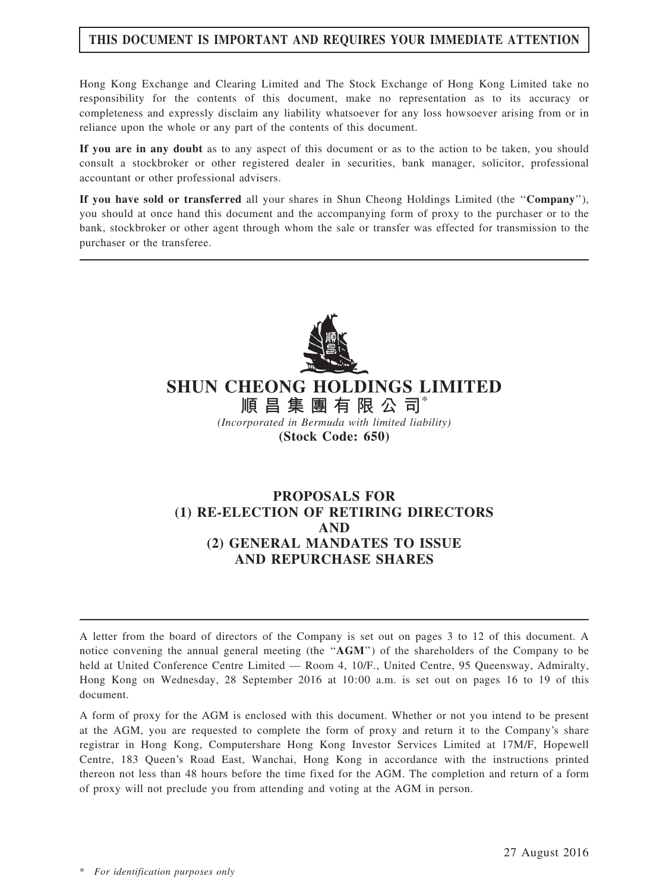# THIS DOCUMENT IS IMPORTANT AND REQUIRES YOUR IMMEDIATE ATTENTION

Hong Kong Exchange and Clearing Limited and The Stock Exchange of Hong Kong Limited take no responsibility for the contents of this document, make no representation as to its accuracy or completeness and expressly disclaim any liability whatsoever for any loss howsoever arising from or in reliance upon the whole or any part of the contents of this document.

If you are in any doubt as to any aspect of this document or as to the action to be taken, you should consult a stockbroker or other registered dealer in securities, bank manager, solicitor, professional accountant or other professional advisers.

If you have sold or transferred all your shares in Shun Cheong Holdings Limited (the ''Company''), you should at once hand this document and the accompanying form of proxy to the purchaser or to the bank, stockbroker or other agent through whom the sale or transfer was effected for transmission to the purchaser or the transferee.



# SHUN CHEONG HOLDINGS LIMITED

順 昌 集 團 有 限 公 司\* (Incorporated in Bermuda with limited liability) (Stock Code: 650)

# PROPOSALS FOR (1) RE-ELECTION OF RETIRING DIRECTORS AND (2) GENERAL MANDATES TO ISSUE AND REPURCHASE SHARES

A letter from the board of directors of the Company is set out on pages 3 to 12 of this document. A notice convening the annual general meeting (the "AGM") of the shareholders of the Company to be held at United Conference Centre Limited — Room 4, 10/F., United Centre, 95 Queensway, Admiralty, Hong Kong on Wednesday, 28 September 2016 at 10:00 a.m. is set out on pages 16 to 19 of this document.

A form of proxy for the AGM is enclosed with this document. Whether or not you intend to be present at the AGM, you are requested to complete the form of proxy and return it to the Company's share registrar in Hong Kong, Computershare Hong Kong Investor Services Limited at 17M/F, Hopewell Centre, 183 Queen's Road East, Wanchai, Hong Kong in accordance with the instructions printed thereon not less than 48 hours before the time fixed for the AGM. The completion and return of a form of proxy will not preclude you from attending and voting at the AGM in person.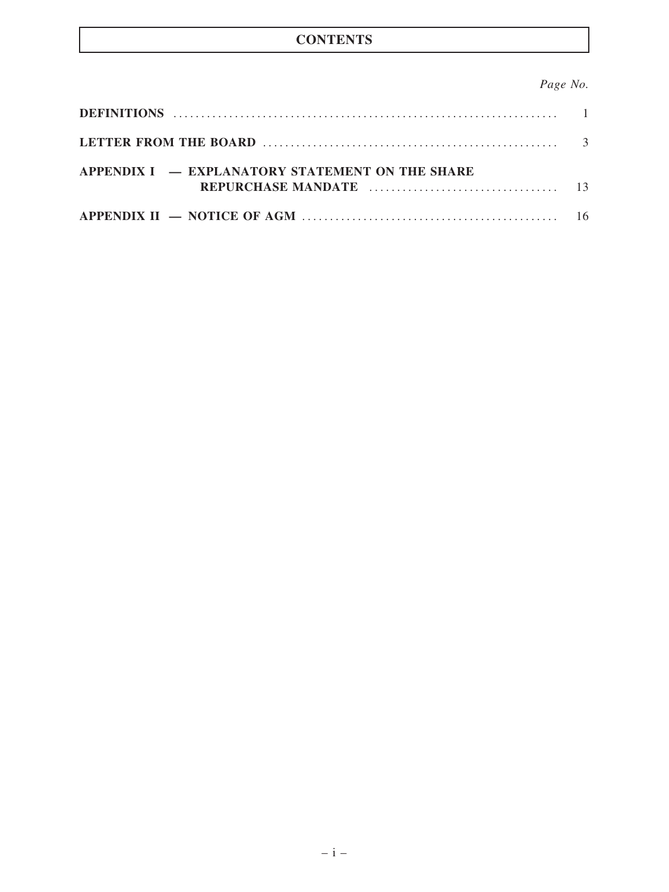# **CONTENTS**

# Page No.

| APPENDIX I – EXPLANATORY STATEMENT ON THE SHARE |  |
|-------------------------------------------------|--|
|                                                 |  |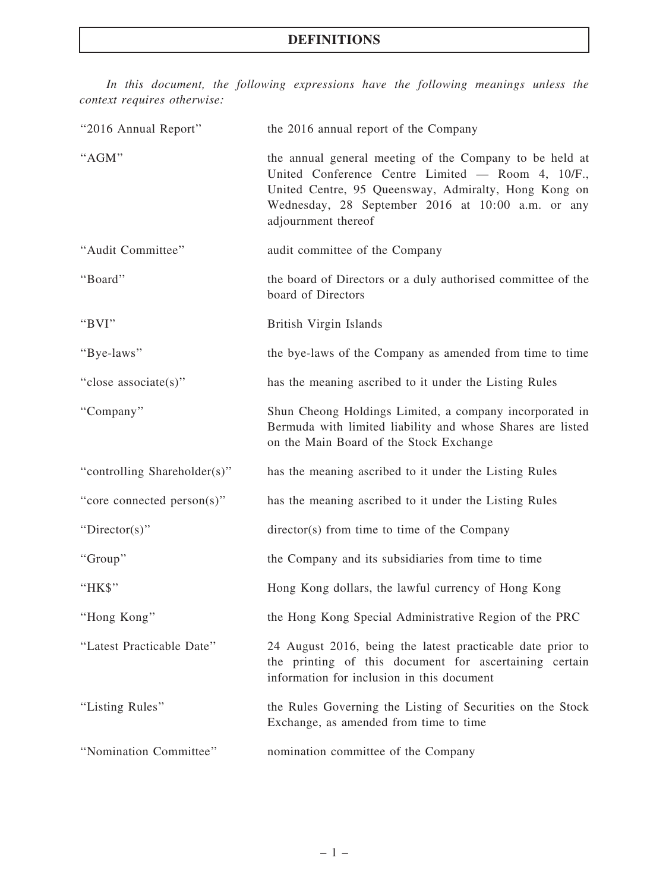# DEFINITIONS

In this document, the following expressions have the following meanings unless the context requires otherwise:

| "2016 Annual Report"         | the 2016 annual report of the Company                                                                                                                                                                                                            |
|------------------------------|--------------------------------------------------------------------------------------------------------------------------------------------------------------------------------------------------------------------------------------------------|
| "AGM"                        | the annual general meeting of the Company to be held at<br>United Conference Centre Limited — Room 4, 10/F.,<br>United Centre, 95 Queensway, Admiralty, Hong Kong on<br>Wednesday, 28 September 2016 at 10:00 a.m. or any<br>adjournment thereof |
| "Audit Committee"            | audit committee of the Company                                                                                                                                                                                                                   |
| "Board"                      | the board of Directors or a duly authorised committee of the<br>board of Directors                                                                                                                                                               |
| "BVI"                        | British Virgin Islands                                                                                                                                                                                                                           |
| "Bye-laws"                   | the bye-laws of the Company as amended from time to time                                                                                                                                                                                         |
| "close associate(s)"         | has the meaning ascribed to it under the Listing Rules                                                                                                                                                                                           |
| "Company"                    | Shun Cheong Holdings Limited, a company incorporated in<br>Bermuda with limited liability and whose Shares are listed<br>on the Main Board of the Stock Exchange                                                                                 |
| "controlling Shareholder(s)" | has the meaning ascribed to it under the Listing Rules                                                                                                                                                                                           |
| "core connected person(s)"   | has the meaning ascribed to it under the Listing Rules                                                                                                                                                                                           |
| "Director(s)"                | director(s) from time to time of the Company                                                                                                                                                                                                     |
| "Group"                      | the Company and its subsidiaries from time to time                                                                                                                                                                                               |
| "HK\$"                       | Hong Kong dollars, the lawful currency of Hong Kong                                                                                                                                                                                              |
| "Hong Kong"                  | the Hong Kong Special Administrative Region of the PRC                                                                                                                                                                                           |
| "Latest Practicable Date"    | 24 August 2016, being the latest practicable date prior to<br>the printing of this document for ascertaining certain<br>information for inclusion in this document                                                                               |
| "Listing Rules"              | the Rules Governing the Listing of Securities on the Stock<br>Exchange, as amended from time to time                                                                                                                                             |
| "Nomination Committee"       | nomination committee of the Company                                                                                                                                                                                                              |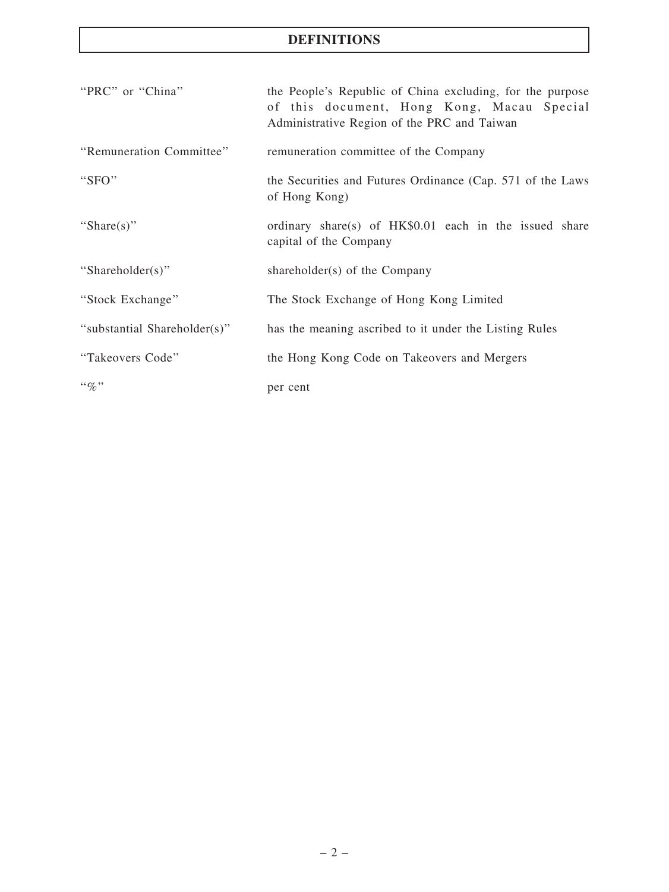# DEFINITIONS

| "PRC" or "China"             | the People's Republic of China excluding, for the purpose<br>of this document, Hong Kong, Macau Special<br>Administrative Region of the PRC and Taiwan |
|------------------------------|--------------------------------------------------------------------------------------------------------------------------------------------------------|
| "Remuneration Committee"     | remuneration committee of the Company                                                                                                                  |
| "SFO"                        | the Securities and Futures Ordinance (Cap. 571 of the Laws<br>of Hong Kong)                                                                            |
| "Share(s)"                   | ordinary share(s) of HK\$0.01 each in the issued share<br>capital of the Company                                                                       |
| "Shareholder(s)"             | shareholder(s) of the Company                                                                                                                          |
| "Stock Exchange"             | The Stock Exchange of Hong Kong Limited                                                                                                                |
| "substantial Shareholder(s)" | has the meaning ascribed to it under the Listing Rules                                                                                                 |
| "Takeovers Code"             | the Hong Kong Code on Takeovers and Mergers                                                                                                            |
| $\lq\lq q_0$ "               | per cent                                                                                                                                               |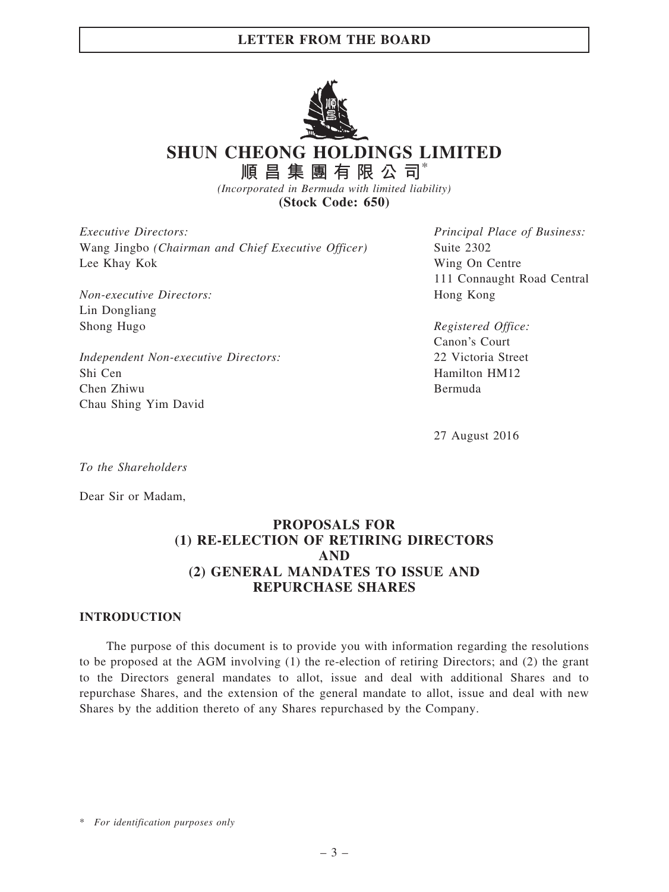

SHUN CHEONG HOLDINGS LIMITED

順 昌 集 團 有 限 公 司 $*$ (Incorporated in Bermuda with limited liability)

(Stock Code: 650)

Executive Directors: Wang Jingbo (Chairman and Chief Executive Officer) Lee Khay Kok

Non-executive Directors: Lin Dongliang Shong Hugo

Independent Non-executive Directors: Shi Cen Chen Zhiwu Chau Shing Yim David

Principal Place of Business: Suite 2302 Wing On Centre 111 Connaught Road Central Hong Kong

Registered Office: Canon's Court 22 Victoria Street Hamilton HM12 Bermuda

27 August 2016

To the Shareholders

Dear Sir or Madam,

# PROPOSALS FOR (1) RE-ELECTION OF RETIRING DIRECTORS AND (2) GENERAL MANDATES TO ISSUE AND REPURCHASE SHARES

#### INTRODUCTION

The purpose of this document is to provide you with information regarding the resolutions to be proposed at the AGM involving (1) the re-election of retiring Directors; and (2) the grant to the Directors general mandates to allot, issue and deal with additional Shares and to repurchase Shares, and the extension of the general mandate to allot, issue and deal with new Shares by the addition thereto of any Shares repurchased by the Company.

\* For identification purposes only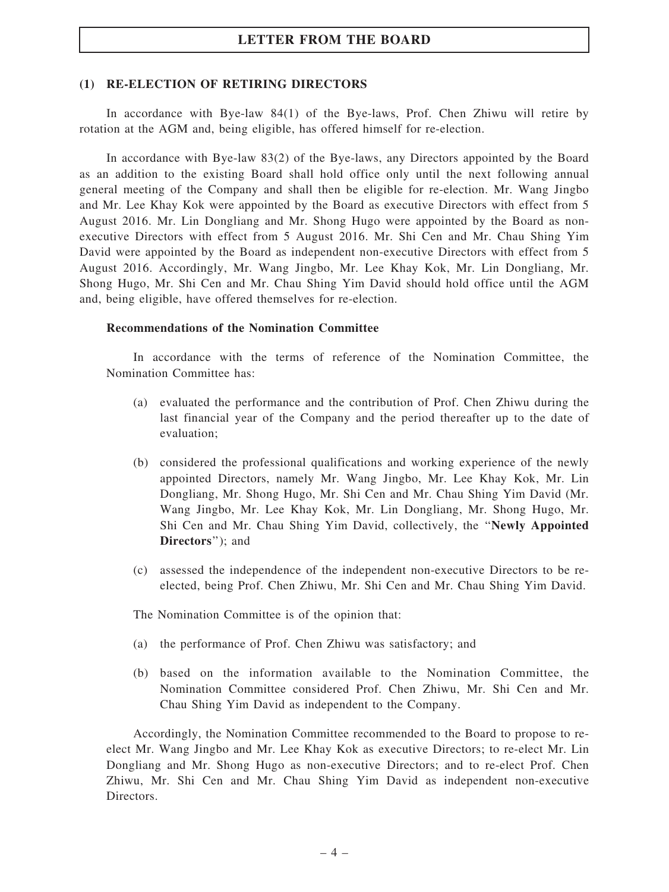#### (1) RE-ELECTION OF RETIRING DIRECTORS

In accordance with Bye-law 84(1) of the Bye-laws, Prof. Chen Zhiwu will retire by rotation at the AGM and, being eligible, has offered himself for re-election.

In accordance with Bye-law 83(2) of the Bye-laws, any Directors appointed by the Board as an addition to the existing Board shall hold office only until the next following annual general meeting of the Company and shall then be eligible for re-election. Mr. Wang Jingbo and Mr. Lee Khay Kok were appointed by the Board as executive Directors with effect from 5 August 2016. Mr. Lin Dongliang and Mr. Shong Hugo were appointed by the Board as nonexecutive Directors with effect from 5 August 2016. Mr. Shi Cen and Mr. Chau Shing Yim David were appointed by the Board as independent non-executive Directors with effect from 5 August 2016. Accordingly, Mr. Wang Jingbo, Mr. Lee Khay Kok, Mr. Lin Dongliang, Mr. Shong Hugo, Mr. Shi Cen and Mr. Chau Shing Yim David should hold office until the AGM and, being eligible, have offered themselves for re-election.

#### Recommendations of the Nomination Committee

In accordance with the terms of reference of the Nomination Committee, the Nomination Committee has:

- (a) evaluated the performance and the contribution of Prof. Chen Zhiwu during the last financial year of the Company and the period thereafter up to the date of evaluation;
- (b) considered the professional qualifications and working experience of the newly appointed Directors, namely Mr. Wang Jingbo, Mr. Lee Khay Kok, Mr. Lin Dongliang, Mr. Shong Hugo, Mr. Shi Cen and Mr. Chau Shing Yim David (Mr. Wang Jingbo, Mr. Lee Khay Kok, Mr. Lin Dongliang, Mr. Shong Hugo, Mr. Shi Cen and Mr. Chau Shing Yim David, collectively, the ''Newly Appointed Directors''); and
- (c) assessed the independence of the independent non-executive Directors to be reelected, being Prof. Chen Zhiwu, Mr. Shi Cen and Mr. Chau Shing Yim David.

The Nomination Committee is of the opinion that:

- (a) the performance of Prof. Chen Zhiwu was satisfactory; and
- (b) based on the information available to the Nomination Committee, the Nomination Committee considered Prof. Chen Zhiwu, Mr. Shi Cen and Mr. Chau Shing Yim David as independent to the Company.

Accordingly, the Nomination Committee recommended to the Board to propose to reelect Mr. Wang Jingbo and Mr. Lee Khay Kok as executive Directors; to re-elect Mr. Lin Dongliang and Mr. Shong Hugo as non-executive Directors; and to re-elect Prof. Chen Zhiwu, Mr. Shi Cen and Mr. Chau Shing Yim David as independent non-executive Directors.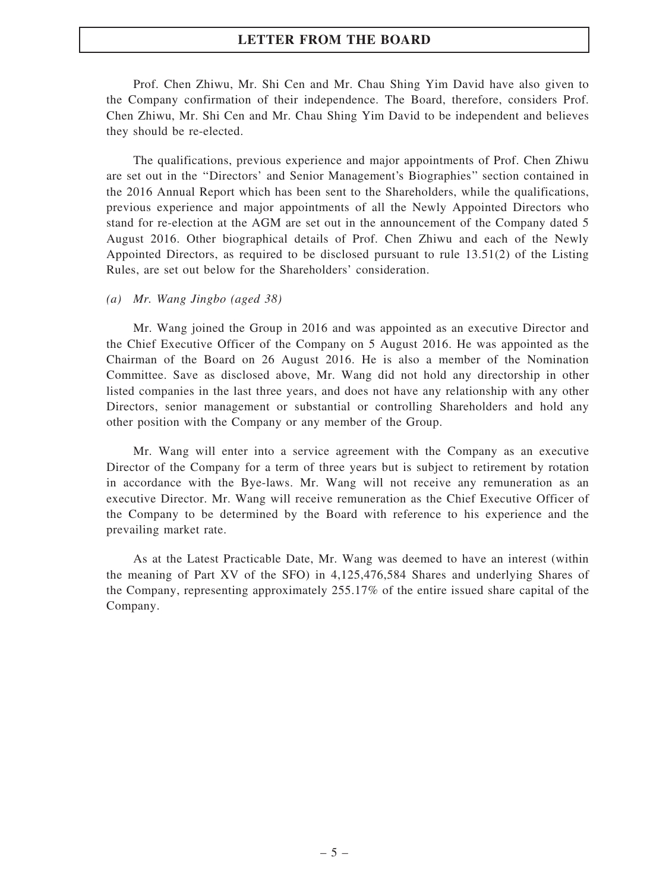Prof. Chen Zhiwu, Mr. Shi Cen and Mr. Chau Shing Yim David have also given to the Company confirmation of their independence. The Board, therefore, considers Prof. Chen Zhiwu, Mr. Shi Cen and Mr. Chau Shing Yim David to be independent and believes they should be re-elected.

The qualifications, previous experience and major appointments of Prof. Chen Zhiwu are set out in the ''Directors' and Senior Management's Biographies'' section contained in the 2016 Annual Report which has been sent to the Shareholders, while the qualifications, previous experience and major appointments of all the Newly Appointed Directors who stand for re-election at the AGM are set out in the announcement of the Company dated 5 August 2016. Other biographical details of Prof. Chen Zhiwu and each of the Newly Appointed Directors, as required to be disclosed pursuant to rule 13.51(2) of the Listing Rules, are set out below for the Shareholders' consideration.

#### (a) Mr. Wang Jingbo (aged 38)

Mr. Wang joined the Group in 2016 and was appointed as an executive Director and the Chief Executive Officer of the Company on 5 August 2016. He was appointed as the Chairman of the Board on 26 August 2016. He is also a member of the Nomination Committee. Save as disclosed above, Mr. Wang did not hold any directorship in other listed companies in the last three years, and does not have any relationship with any other Directors, senior management or substantial or controlling Shareholders and hold any other position with the Company or any member of the Group.

Mr. Wang will enter into a service agreement with the Company as an executive Director of the Company for a term of three years but is subject to retirement by rotation in accordance with the Bye-laws. Mr. Wang will not receive any remuneration as an executive Director. Mr. Wang will receive remuneration as the Chief Executive Officer of the Company to be determined by the Board with reference to his experience and the prevailing market rate.

As at the Latest Practicable Date, Mr. Wang was deemed to have an interest (within the meaning of Part XV of the SFO) in 4,125,476,584 Shares and underlying Shares of the Company, representing approximately 255.17% of the entire issued share capital of the Company.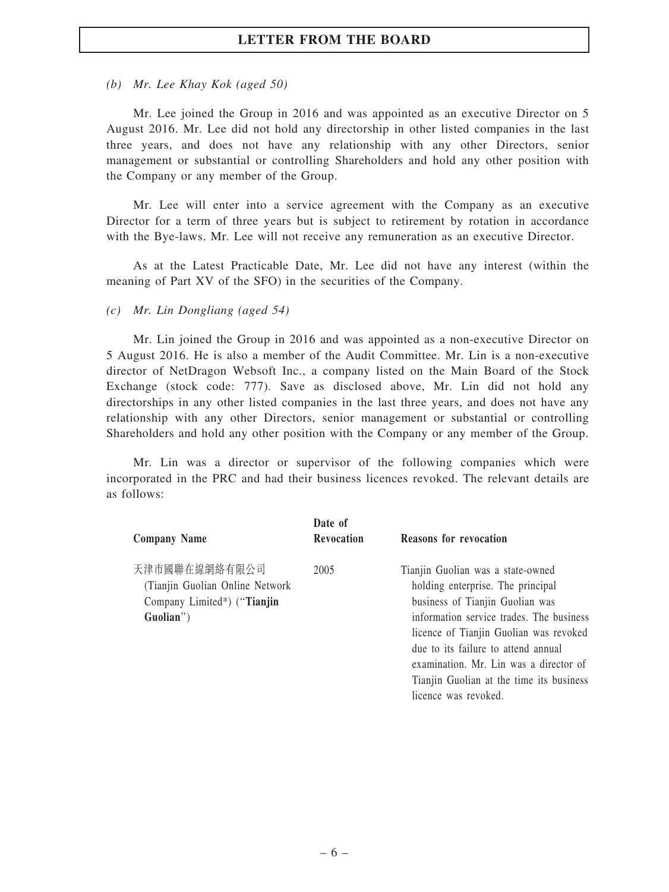(b) Mr. Lee Khay Kok (aged 50)

Mr. Lee joined the Group in 2016 and was appointed as an executive Director on 5 August 2016. Mr. Lee did not hold any directorship in other listed companies in the last three years, and does not have any relationship with any other Directors, senior management or substantial or controlling Shareholders and hold any other position with the Company or any member of the Group.

Mr. Lee will enter into a service agreement with the Company as an executive Director for a term of three years but is subject to retirement by rotation in accordance with the Bye-laws. Mr. Lee will not receive any remuneration as an executive Director.

As at the Latest Practicable Date, Mr. Lee did not have any interest (within the meaning of Part XV of the SFO) in the securities of the Company.

(c) Mr. Lin Dongliang (aged 54)

Mr. Lin joined the Group in 2016 and was appointed as a non-executive Director on 5 August 2016. He is also a member of the Audit Committee. Mr. Lin is a non-executive director of NetDragon Websoft Inc., a company listed on the Main Board of the Stock Exchange (stock code: 777). Save as disclosed above, Mr. Lin did not hold any directorships in any other listed companies in the last three years, and does not have any relationship with any other Directors, senior management or substantial or controlling Shareholders and hold any other position with the Company or any member of the Group.

Mr. Lin was a director or supervisor of the following companies which were incorporated in the PRC and had their business licences revoked. The relevant details are as follows:

|                                  | Date of    |                                          |
|----------------------------------|------------|------------------------------------------|
| <b>Company Name</b>              | Revocation | <b>Reasons for revocation</b>            |
| 天津市國聯在線網絡有限公司                    | 2005       | Tianjin Guolian was a state-owned        |
| (Tianjin Guolian Online Network) |            | holding enterprise. The principal        |
| Company Limited*) ("Tianjin      |            | business of Tianjin Guolian was          |
| Guolian")                        |            | information service trades. The business |
|                                  |            | licence of Tianjin Guolian was revoked   |
|                                  |            | due to its failure to attend annual      |
|                                  |            | examination. Mr. Lin was a director of   |
|                                  |            | Tianjin Guolian at the time its business |
|                                  |            | licence was revoked.                     |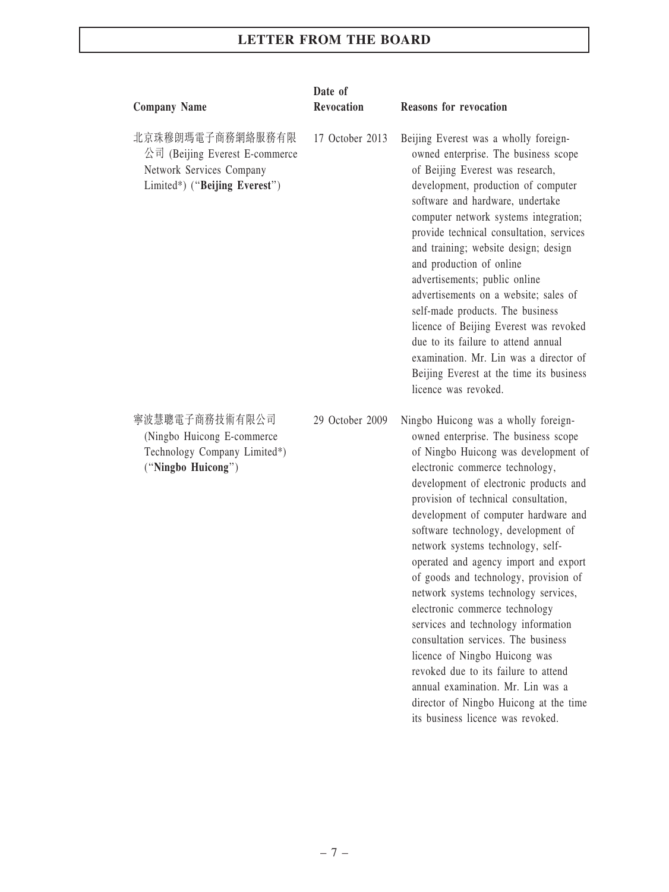| <b>Company Name</b>                                                                                             | Date of<br><b>Revocation</b> | <b>Reasons for revocation</b>                                                                                                                                                                                                                                                                                                                                                                                                                                                                                                                                                                                                                                                                                                                                                                        |
|-----------------------------------------------------------------------------------------------------------------|------------------------------|------------------------------------------------------------------------------------------------------------------------------------------------------------------------------------------------------------------------------------------------------------------------------------------------------------------------------------------------------------------------------------------------------------------------------------------------------------------------------------------------------------------------------------------------------------------------------------------------------------------------------------------------------------------------------------------------------------------------------------------------------------------------------------------------------|
| 北京珠穆朗瑪電子商務網絡服務有限<br>公司 (Beijing Everest E-commerce<br>Network Services Company<br>Limited*) ("Beijing Everest") | 17 October 2013              | Beijing Everest was a wholly foreign-<br>owned enterprise. The business scope<br>of Beijing Everest was research,<br>development, production of computer<br>software and hardware, undertake<br>computer network systems integration;<br>provide technical consultation, services<br>and training; website design; design<br>and production of online<br>advertisements; public online<br>advertisements on a website; sales of<br>self-made products. The business<br>licence of Beijing Everest was revoked<br>due to its failure to attend annual<br>examination. Mr. Lin was a director of<br>Beijing Everest at the time its business<br>licence was revoked.                                                                                                                                   |
| 寧波慧聰電子商務技術有限公司<br>(Ningbo Huicong E-commerce<br>Technology Company Limited*)<br>("Ningbo Huicong")              | 29 October 2009              | Ningbo Huicong was a wholly foreign-<br>owned enterprise. The business scope<br>of Ningbo Huicong was development of<br>electronic commerce technology,<br>development of electronic products and<br>provision of technical consultation,<br>development of computer hardware and<br>software technology, development of<br>network systems technology, self-<br>operated and agency import and export<br>of goods and technology, provision of<br>network systems technology services,<br>electronic commerce technology<br>services and technology information<br>consultation services. The business<br>licence of Ningbo Huicong was<br>revoked due to its failure to attend<br>annual examination. Mr. Lin was a<br>director of Ningbo Huicong at the time<br>its business licence was revoked. |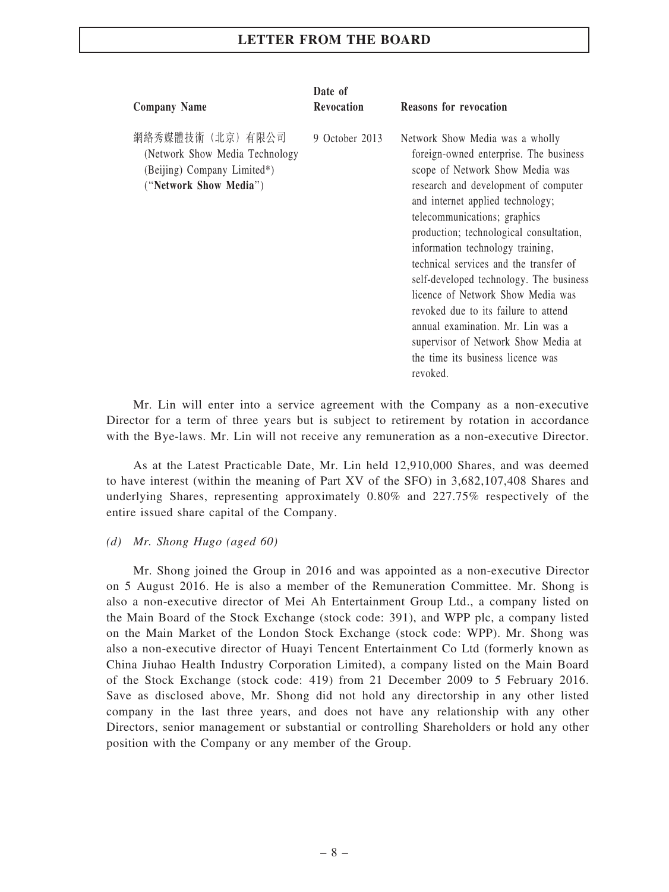| <b>Company Name</b>                                                                                           | Date of<br><b>Revocation</b> | <b>Reasons for revocation</b>                                                                                                                                                                                                                                                                                                                                                                                                                                                                                                                                                                          |
|---------------------------------------------------------------------------------------------------------------|------------------------------|--------------------------------------------------------------------------------------------------------------------------------------------------------------------------------------------------------------------------------------------------------------------------------------------------------------------------------------------------------------------------------------------------------------------------------------------------------------------------------------------------------------------------------------------------------------------------------------------------------|
| 網絡秀媒體技術 (北京) 有限公司<br>(Network Show Media Technology)<br>(Beijing) Company Limited*)<br>("Network Show Media") | 9 October 2013               | Network Show Media was a wholly<br>foreign-owned enterprise. The business<br>scope of Network Show Media was<br>research and development of computer<br>and internet applied technology;<br>telecommunications; graphics<br>production; technological consultation,<br>information technology training,<br>technical services and the transfer of<br>self-developed technology. The business<br>licence of Network Show Media was<br>revoked due to its failure to attend<br>annual examination. Mr. Lin was a<br>supervisor of Network Show Media at<br>the time its business licence was<br>revoked. |

Mr. Lin will enter into a service agreement with the Company as a non-executive Director for a term of three years but is subject to retirement by rotation in accordance with the Bye-laws. Mr. Lin will not receive any remuneration as a non-executive Director.

As at the Latest Practicable Date, Mr. Lin held 12,910,000 Shares, and was deemed to have interest (within the meaning of Part XV of the SFO) in 3,682,107,408 Shares and underlying Shares, representing approximately 0.80% and 227.75% respectively of the entire issued share capital of the Company.

#### (d) Mr. Shong Hugo (aged 60)

Mr. Shong joined the Group in 2016 and was appointed as a non-executive Director on 5 August 2016. He is also a member of the Remuneration Committee. Mr. Shong is also a non-executive director of Mei Ah Entertainment Group Ltd., a company listed on the Main Board of the Stock Exchange (stock code: 391), and WPP plc, a company listed on the Main Market of the London Stock Exchange (stock code: WPP). Mr. Shong was also a non-executive director of Huayi Tencent Entertainment Co Ltd (formerly known as China Jiuhao Health Industry Corporation Limited), a company listed on the Main Board of the Stock Exchange (stock code: 419) from 21 December 2009 to 5 February 2016. Save as disclosed above, Mr. Shong did not hold any directorship in any other listed company in the last three years, and does not have any relationship with any other Directors, senior management or substantial or controlling Shareholders or hold any other position with the Company or any member of the Group.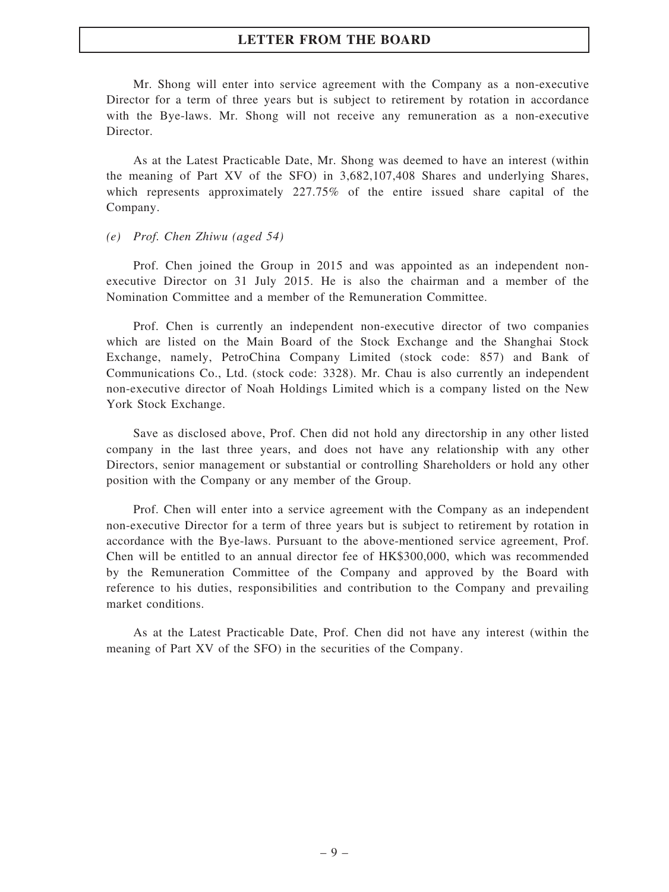Mr. Shong will enter into service agreement with the Company as a non-executive Director for a term of three years but is subject to retirement by rotation in accordance with the Bye-laws. Mr. Shong will not receive any remuneration as a non-executive Director.

As at the Latest Practicable Date, Mr. Shong was deemed to have an interest (within the meaning of Part XV of the SFO) in 3,682,107,408 Shares and underlying Shares, which represents approximately 227.75% of the entire issued share capital of the Company.

#### (e) Prof. Chen Zhiwu (aged 54)

Prof. Chen joined the Group in 2015 and was appointed as an independent nonexecutive Director on 31 July 2015. He is also the chairman and a member of the Nomination Committee and a member of the Remuneration Committee.

Prof. Chen is currently an independent non-executive director of two companies which are listed on the Main Board of the Stock Exchange and the Shanghai Stock Exchange, namely, PetroChina Company Limited (stock code: 857) and Bank of Communications Co., Ltd. (stock code: 3328). Mr. Chau is also currently an independent non-executive director of Noah Holdings Limited which is a company listed on the New York Stock Exchange.

Save as disclosed above, Prof. Chen did not hold any directorship in any other listed company in the last three years, and does not have any relationship with any other Directors, senior management or substantial or controlling Shareholders or hold any other position with the Company or any member of the Group.

Prof. Chen will enter into a service agreement with the Company as an independent non-executive Director for a term of three years but is subject to retirement by rotation in accordance with the Bye-laws. Pursuant to the above-mentioned service agreement, Prof. Chen will be entitled to an annual director fee of HK\$300,000, which was recommended by the Remuneration Committee of the Company and approved by the Board with reference to his duties, responsibilities and contribution to the Company and prevailing market conditions.

As at the Latest Practicable Date, Prof. Chen did not have any interest (within the meaning of Part XV of the SFO) in the securities of the Company.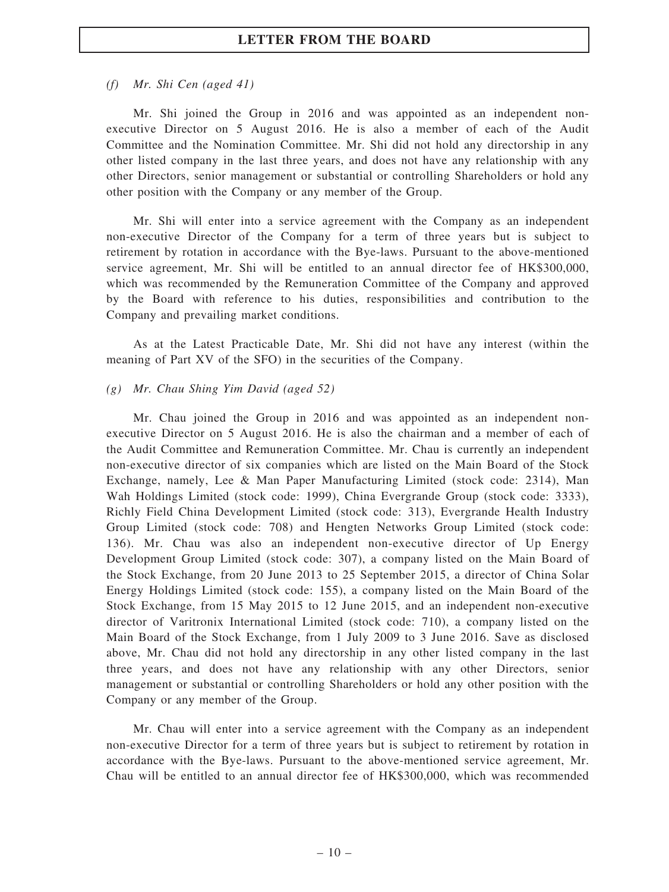#### (f) Mr. Shi Cen (aged 41)

Mr. Shi joined the Group in 2016 and was appointed as an independent nonexecutive Director on 5 August 2016. He is also a member of each of the Audit Committee and the Nomination Committee. Mr. Shi did not hold any directorship in any other listed company in the last three years, and does not have any relationship with any other Directors, senior management or substantial or controlling Shareholders or hold any other position with the Company or any member of the Group.

Mr. Shi will enter into a service agreement with the Company as an independent non-executive Director of the Company for a term of three years but is subject to retirement by rotation in accordance with the Bye-laws. Pursuant to the above-mentioned service agreement, Mr. Shi will be entitled to an annual director fee of HK\$300,000, which was recommended by the Remuneration Committee of the Company and approved by the Board with reference to his duties, responsibilities and contribution to the Company and prevailing market conditions.

As at the Latest Practicable Date, Mr. Shi did not have any interest (within the meaning of Part XV of the SFO) in the securities of the Company.

#### (g) Mr. Chau Shing Yim David (aged 52)

Mr. Chau joined the Group in 2016 and was appointed as an independent nonexecutive Director on 5 August 2016. He is also the chairman and a member of each of the Audit Committee and Remuneration Committee. Mr. Chau is currently an independent non-executive director of six companies which are listed on the Main Board of the Stock Exchange, namely, Lee & Man Paper Manufacturing Limited (stock code: 2314), Man Wah Holdings Limited (stock code: 1999), China Evergrande Group (stock code: 3333), Richly Field China Development Limited (stock code: 313), Evergrande Health Industry Group Limited (stock code: 708) and Hengten Networks Group Limited (stock code: 136). Mr. Chau was also an independent non-executive director of Up Energy Development Group Limited (stock code: 307), a company listed on the Main Board of the Stock Exchange, from 20 June 2013 to 25 September 2015, a director of China Solar Energy Holdings Limited (stock code: 155), a company listed on the Main Board of the Stock Exchange, from 15 May 2015 to 12 June 2015, and an independent non-executive director of Varitronix International Limited (stock code: 710), a company listed on the Main Board of the Stock Exchange, from 1 July 2009 to 3 June 2016. Save as disclosed above, Mr. Chau did not hold any directorship in any other listed company in the last three years, and does not have any relationship with any other Directors, senior management or substantial or controlling Shareholders or hold any other position with the Company or any member of the Group.

Mr. Chau will enter into a service agreement with the Company as an independent non-executive Director for a term of three years but is subject to retirement by rotation in accordance with the Bye-laws. Pursuant to the above-mentioned service agreement, Mr. Chau will be entitled to an annual director fee of HK\$300,000, which was recommended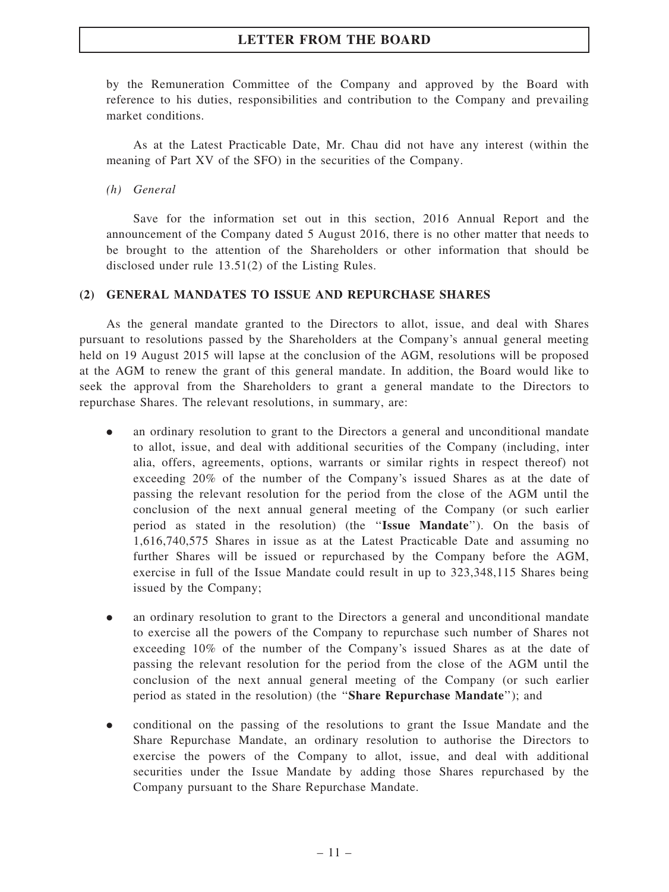by the Remuneration Committee of the Company and approved by the Board with reference to his duties, responsibilities and contribution to the Company and prevailing market conditions.

As at the Latest Practicable Date, Mr. Chau did not have any interest (within the meaning of Part XV of the SFO) in the securities of the Company.

#### (h) General

Save for the information set out in this section, 2016 Annual Report and the announcement of the Company dated 5 August 2016, there is no other matter that needs to be brought to the attention of the Shareholders or other information that should be disclosed under rule 13.51(2) of the Listing Rules.

#### (2) GENERAL MANDATES TO ISSUE AND REPURCHASE SHARES

As the general mandate granted to the Directors to allot, issue, and deal with Shares pursuant to resolutions passed by the Shareholders at the Company's annual general meeting held on 19 August 2015 will lapse at the conclusion of the AGM, resolutions will be proposed at the AGM to renew the grant of this general mandate. In addition, the Board would like to seek the approval from the Shareholders to grant a general mandate to the Directors to repurchase Shares. The relevant resolutions, in summary, are:

- . an ordinary resolution to grant to the Directors a general and unconditional mandate to allot, issue, and deal with additional securities of the Company (including, inter alia, offers, agreements, options, warrants or similar rights in respect thereof) not exceeding 20% of the number of the Company's issued Shares as at the date of passing the relevant resolution for the period from the close of the AGM until the conclusion of the next annual general meeting of the Company (or such earlier period as stated in the resolution) (the "Issue Mandate"). On the basis of 1,616,740,575 Shares in issue as at the Latest Practicable Date and assuming no further Shares will be issued or repurchased by the Company before the AGM, exercise in full of the Issue Mandate could result in up to 323,348,115 Shares being issued by the Company;
- . an ordinary resolution to grant to the Directors a general and unconditional mandate to exercise all the powers of the Company to repurchase such number of Shares not exceeding 10% of the number of the Company's issued Shares as at the date of passing the relevant resolution for the period from the close of the AGM until the conclusion of the next annual general meeting of the Company (or such earlier period as stated in the resolution) (the "Share Repurchase Mandate"); and
- . conditional on the passing of the resolutions to grant the Issue Mandate and the Share Repurchase Mandate, an ordinary resolution to authorise the Directors to exercise the powers of the Company to allot, issue, and deal with additional securities under the Issue Mandate by adding those Shares repurchased by the Company pursuant to the Share Repurchase Mandate.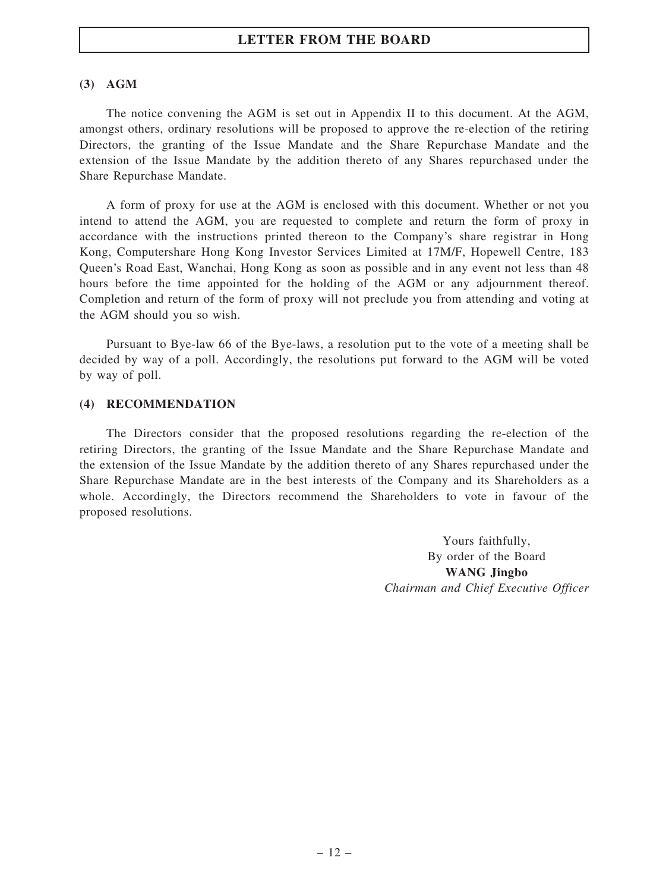#### (3) AGM

The notice convening the AGM is set out in Appendix II to this document. At the AGM, amongst others, ordinary resolutions will be proposed to approve the re-election of the retiring Directors, the granting of the Issue Mandate and the Share Repurchase Mandate and the extension of the Issue Mandate by the addition thereto of any Shares repurchased under the Share Repurchase Mandate.

A form of proxy for use at the AGM is enclosed with this document. Whether or not you intend to attend the AGM, you are requested to complete and return the form of proxy in accordance with the instructions printed thereon to the Company's share registrar in Hong Kong, Computershare Hong Kong Investor Services Limited at 17M/F, Hopewell Centre, 183 Queen's Road East, Wanchai, Hong Kong as soon as possible and in any event not less than 48 hours before the time appointed for the holding of the AGM or any adjournment thereof. Completion and return of the form of proxy will not preclude you from attending and voting at the AGM should you so wish.

Pursuant to Bye-law 66 of the Bye-laws, a resolution put to the vote of a meeting shall be decided by way of a poll. Accordingly, the resolutions put forward to the AGM will be voted by way of poll.

#### (4) RECOMMENDATION

The Directors consider that the proposed resolutions regarding the re-election of the retiring Directors, the granting of the Issue Mandate and the Share Repurchase Mandate and the extension of the Issue Mandate by the addition thereto of any Shares repurchased under the Share Repurchase Mandate are in the best interests of the Company and its Shareholders as a whole. Accordingly, the Directors recommend the Shareholders to vote in favour of the proposed resolutions.

> Yours faithfully, By order of the Board WANG Jingbo Chairman and Chief Executive Officer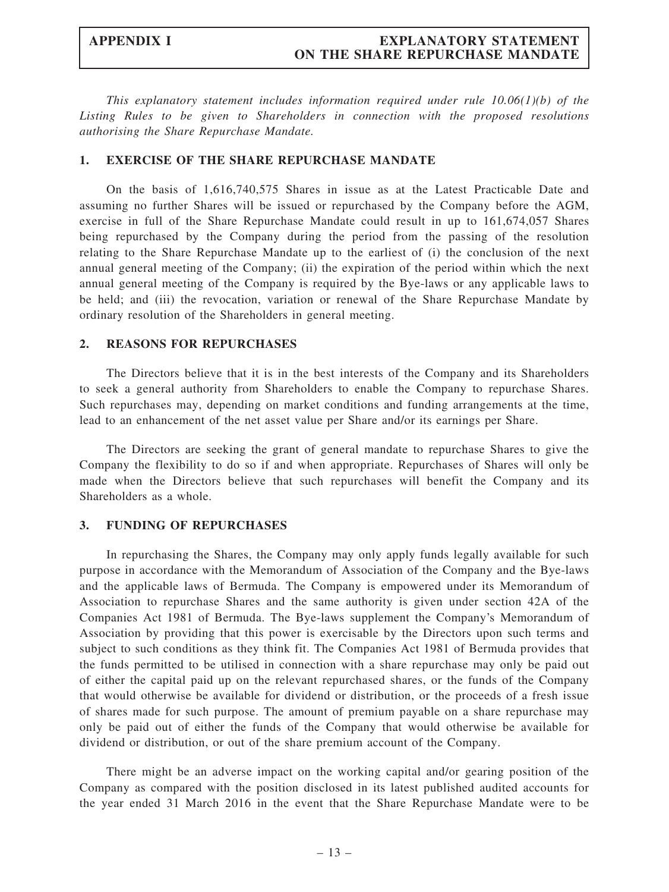#### APPENDIX I EXPLANATORY STATEMENT ON THE SHARE REPURCHASE MANDATE

This explanatory statement includes information required under rule  $10.06(1)(b)$  of the Listing Rules to be given to Shareholders in connection with the proposed resolutions authorising the Share Repurchase Mandate.

#### 1. EXERCISE OF THE SHARE REPURCHASE MANDATE

On the basis of 1,616,740,575 Shares in issue as at the Latest Practicable Date and assuming no further Shares will be issued or repurchased by the Company before the AGM, exercise in full of the Share Repurchase Mandate could result in up to 161,674,057 Shares being repurchased by the Company during the period from the passing of the resolution relating to the Share Repurchase Mandate up to the earliest of (i) the conclusion of the next annual general meeting of the Company; (ii) the expiration of the period within which the next annual general meeting of the Company is required by the Bye-laws or any applicable laws to be held; and (iii) the revocation, variation or renewal of the Share Repurchase Mandate by ordinary resolution of the Shareholders in general meeting.

#### 2. REASONS FOR REPURCHASES

The Directors believe that it is in the best interests of the Company and its Shareholders to seek a general authority from Shareholders to enable the Company to repurchase Shares. Such repurchases may, depending on market conditions and funding arrangements at the time, lead to an enhancement of the net asset value per Share and/or its earnings per Share.

The Directors are seeking the grant of general mandate to repurchase Shares to give the Company the flexibility to do so if and when appropriate. Repurchases of Shares will only be made when the Directors believe that such repurchases will benefit the Company and its Shareholders as a whole.

### 3. FUNDING OF REPURCHASES

In repurchasing the Shares, the Company may only apply funds legally available for such purpose in accordance with the Memorandum of Association of the Company and the Bye-laws and the applicable laws of Bermuda. The Company is empowered under its Memorandum of Association to repurchase Shares and the same authority is given under section 42A of the Companies Act 1981 of Bermuda. The Bye-laws supplement the Company's Memorandum of Association by providing that this power is exercisable by the Directors upon such terms and subject to such conditions as they think fit. The Companies Act 1981 of Bermuda provides that the funds permitted to be utilised in connection with a share repurchase may only be paid out of either the capital paid up on the relevant repurchased shares, or the funds of the Company that would otherwise be available for dividend or distribution, or the proceeds of a fresh issue of shares made for such purpose. The amount of premium payable on a share repurchase may only be paid out of either the funds of the Company that would otherwise be available for dividend or distribution, or out of the share premium account of the Company.

There might be an adverse impact on the working capital and/or gearing position of the Company as compared with the position disclosed in its latest published audited accounts for the year ended 31 March 2016 in the event that the Share Repurchase Mandate were to be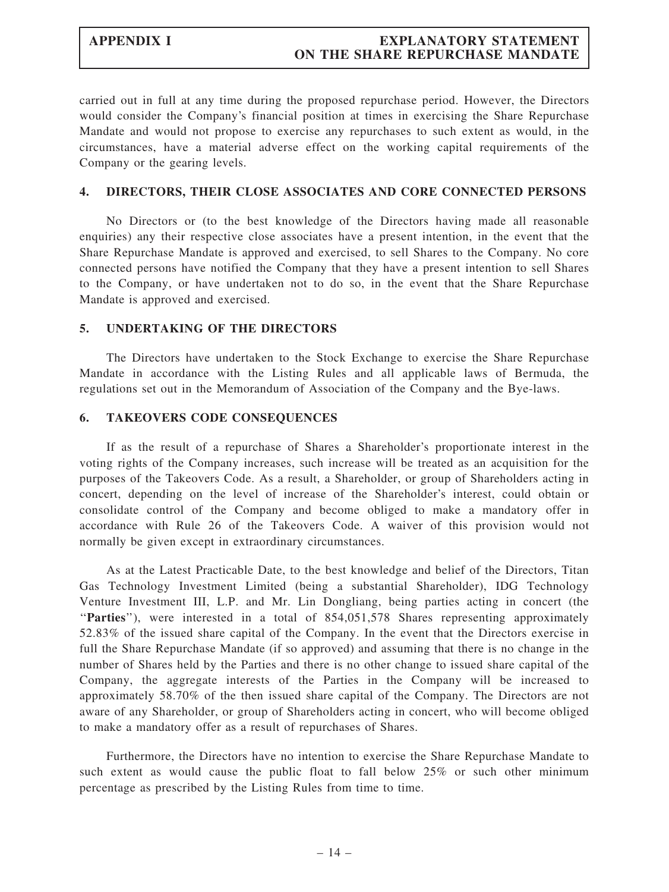### APPENDIX I EXPLANATORY STATEMENT ON THE SHARE REPURCHASE MANDATE

carried out in full at any time during the proposed repurchase period. However, the Directors would consider the Company's financial position at times in exercising the Share Repurchase Mandate and would not propose to exercise any repurchases to such extent as would, in the circumstances, have a material adverse effect on the working capital requirements of the Company or the gearing levels.

#### 4. DIRECTORS, THEIR CLOSE ASSOCIATES AND CORE CONNECTED PERSONS

No Directors or (to the best knowledge of the Directors having made all reasonable enquiries) any their respective close associates have a present intention, in the event that the Share Repurchase Mandate is approved and exercised, to sell Shares to the Company. No core connected persons have notified the Company that they have a present intention to sell Shares to the Company, or have undertaken not to do so, in the event that the Share Repurchase Mandate is approved and exercised.

#### 5. UNDERTAKING OF THE DIRECTORS

The Directors have undertaken to the Stock Exchange to exercise the Share Repurchase Mandate in accordance with the Listing Rules and all applicable laws of Bermuda, the regulations set out in the Memorandum of Association of the Company and the Bye-laws.

#### 6. TAKEOVERS CODE CONSEQUENCES

If as the result of a repurchase of Shares a Shareholder's proportionate interest in the voting rights of the Company increases, such increase will be treated as an acquisition for the purposes of the Takeovers Code. As a result, a Shareholder, or group of Shareholders acting in concert, depending on the level of increase of the Shareholder's interest, could obtain or consolidate control of the Company and become obliged to make a mandatory offer in accordance with Rule 26 of the Takeovers Code. A waiver of this provision would not normally be given except in extraordinary circumstances.

As at the Latest Practicable Date, to the best knowledge and belief of the Directors, Titan Gas Technology Investment Limited (being a substantial Shareholder), IDG Technology Venture Investment III, L.P. and Mr. Lin Dongliang, being parties acting in concert (the ''Parties''), were interested in a total of 854,051,578 Shares representing approximately 52.83% of the issued share capital of the Company. In the event that the Directors exercise in full the Share Repurchase Mandate (if so approved) and assuming that there is no change in the number of Shares held by the Parties and there is no other change to issued share capital of the Company, the aggregate interests of the Parties in the Company will be increased to approximately 58.70% of the then issued share capital of the Company. The Directors are not aware of any Shareholder, or group of Shareholders acting in concert, who will become obliged to make a mandatory offer as a result of repurchases of Shares.

Furthermore, the Directors have no intention to exercise the Share Repurchase Mandate to such extent as would cause the public float to fall below 25% or such other minimum percentage as prescribed by the Listing Rules from time to time.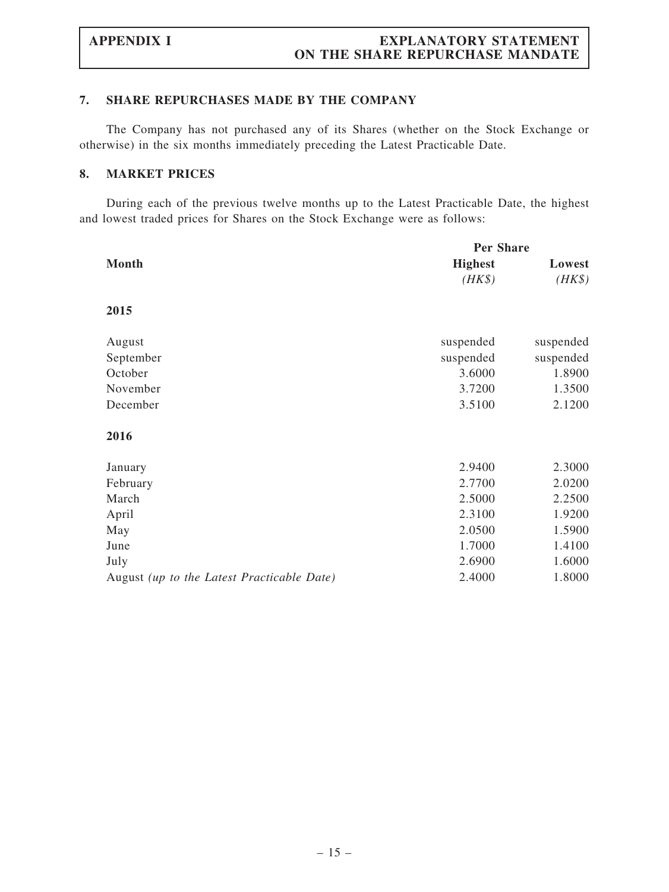#### 7. SHARE REPURCHASES MADE BY THE COMPANY

The Company has not purchased any of its Shares (whether on the Stock Exchange or otherwise) in the six months immediately preceding the Latest Practicable Date.

### 8. MARKET PRICES

During each of the previous twelve months up to the Latest Practicable Date, the highest and lowest traded prices for Shares on the Stock Exchange were as follows:

|                                            | <b>Per Share</b> |           |
|--------------------------------------------|------------------|-----------|
| <b>Month</b>                               | <b>Highest</b>   | Lowest    |
|                                            | $(HK\$           | $(HK\$    |
| 2015                                       |                  |           |
| August                                     | suspended        | suspended |
| September                                  | suspended        | suspended |
| October                                    | 3.6000           | 1.8900    |
| November                                   | 3.7200           | 1.3500    |
| December                                   | 3.5100           | 2.1200    |
| 2016                                       |                  |           |
| January                                    | 2.9400           | 2.3000    |
| February                                   | 2.7700           | 2.0200    |
| March                                      | 2.5000           | 2.2500    |
| April                                      | 2.3100           | 1.9200    |
| May                                        | 2.0500           | 1.5900    |
| June                                       | 1.7000           | 1.4100    |
| July                                       | 2.6900           | 1.6000    |
| August (up to the Latest Practicable Date) | 2.4000           | 1.8000    |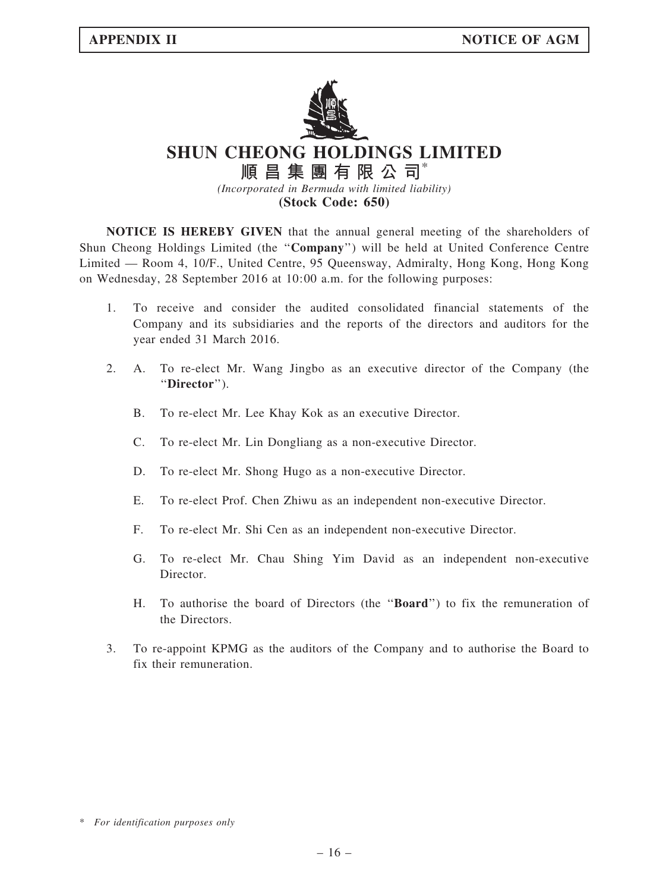

SHUN CHEONG HOLDINGS LIMITED

順昌集團有限公司\* (Incorporated in Bermuda with limited liability) (Stock Code: 650)

NOTICE IS HEREBY GIVEN that the annual general meeting of the shareholders of Shun Cheong Holdings Limited (the ''Company'') will be held at United Conference Centre Limited — Room 4, 10/F., United Centre, 95 Queensway, Admiralty, Hong Kong, Hong Kong on Wednesday, 28 September 2016 at 10:00 a.m. for the following purposes:

- 1. To receive and consider the audited consolidated financial statements of the Company and its subsidiaries and the reports of the directors and auditors for the year ended 31 March 2016.
- 2. A. To re-elect Mr. Wang Jingbo as an executive director of the Company (the ''Director'').
	- B. To re-elect Mr. Lee Khay Kok as an executive Director.
	- C. To re-elect Mr. Lin Dongliang as a non-executive Director.
	- D. To re-elect Mr. Shong Hugo as a non-executive Director.
	- E. To re-elect Prof. Chen Zhiwu as an independent non-executive Director.
	- F. To re-elect Mr. Shi Cen as an independent non-executive Director.
	- G. To re-elect Mr. Chau Shing Yim David as an independent non-executive Director.
	- H. To authorise the board of Directors (the ''Board'') to fix the remuneration of the Directors.
- 3. To re-appoint KPMG as the auditors of the Company and to authorise the Board to fix their remuneration.

<sup>\*</sup> For identification purposes only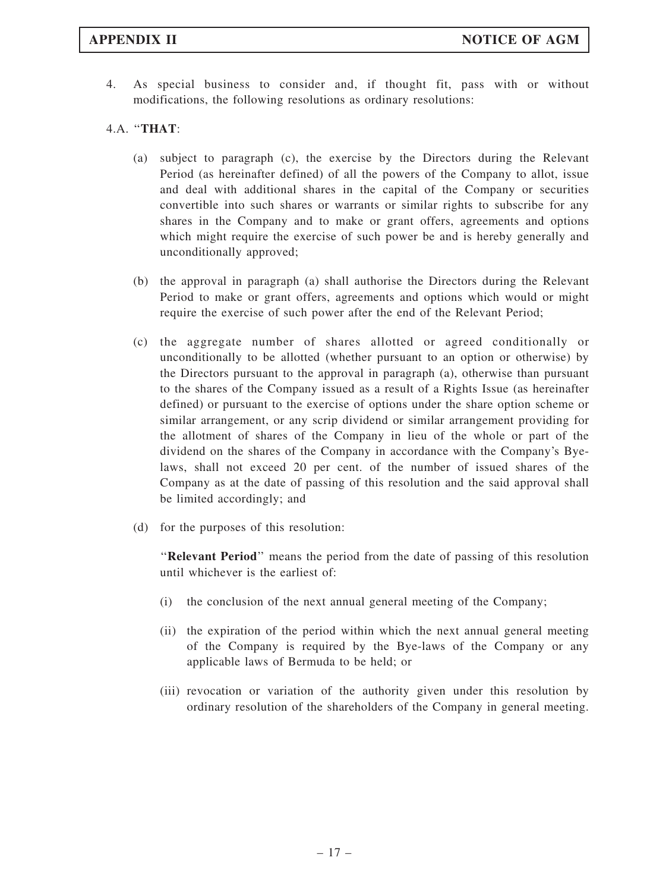4. As special business to consider and, if thought fit, pass with or without modifications, the following resolutions as ordinary resolutions:

### 4.A. ''THAT:

- (a) subject to paragraph (c), the exercise by the Directors during the Relevant Period (as hereinafter defined) of all the powers of the Company to allot, issue and deal with additional shares in the capital of the Company or securities convertible into such shares or warrants or similar rights to subscribe for any shares in the Company and to make or grant offers, agreements and options which might require the exercise of such power be and is hereby generally and unconditionally approved;
- (b) the approval in paragraph (a) shall authorise the Directors during the Relevant Period to make or grant offers, agreements and options which would or might require the exercise of such power after the end of the Relevant Period;
- (c) the aggregate number of shares allotted or agreed conditionally or unconditionally to be allotted (whether pursuant to an option or otherwise) by the Directors pursuant to the approval in paragraph (a), otherwise than pursuant to the shares of the Company issued as a result of a Rights Issue (as hereinafter defined) or pursuant to the exercise of options under the share option scheme or similar arrangement, or any scrip dividend or similar arrangement providing for the allotment of shares of the Company in lieu of the whole or part of the dividend on the shares of the Company in accordance with the Company's Byelaws, shall not exceed 20 per cent. of the number of issued shares of the Company as at the date of passing of this resolution and the said approval shall be limited accordingly; and
- (d) for the purposes of this resolution:

''Relevant Period'' means the period from the date of passing of this resolution until whichever is the earliest of:

- (i) the conclusion of the next annual general meeting of the Company;
- (ii) the expiration of the period within which the next annual general meeting of the Company is required by the Bye-laws of the Company or any applicable laws of Bermuda to be held; or
- (iii) revocation or variation of the authority given under this resolution by ordinary resolution of the shareholders of the Company in general meeting.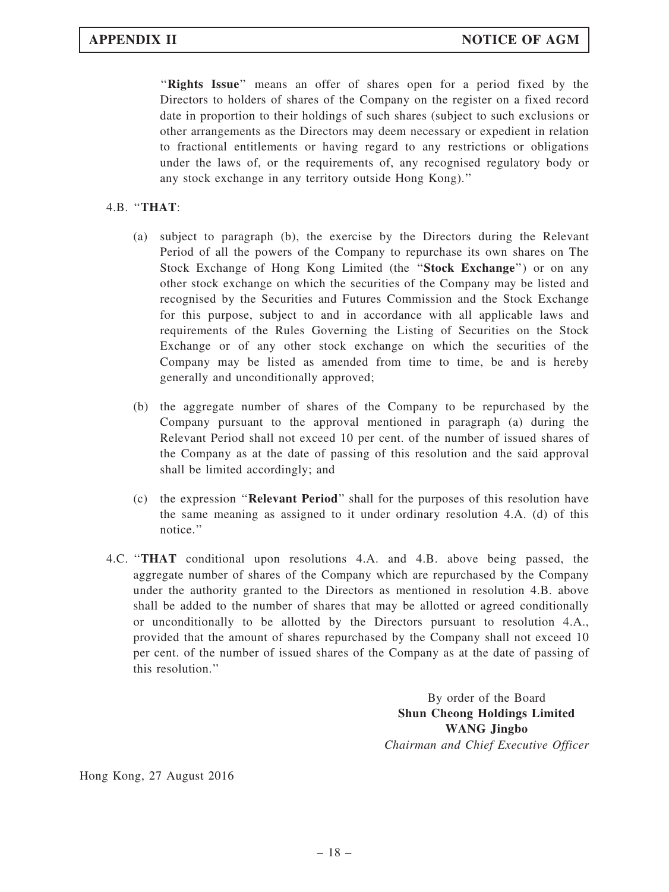"Rights Issue" means an offer of shares open for a period fixed by the Directors to holders of shares of the Company on the register on a fixed record date in proportion to their holdings of such shares (subject to such exclusions or other arrangements as the Directors may deem necessary or expedient in relation to fractional entitlements or having regard to any restrictions or obligations under the laws of, or the requirements of, any recognised regulatory body or any stock exchange in any territory outside Hong Kong).''

### 4.B. ''THAT:

- (a) subject to paragraph (b), the exercise by the Directors during the Relevant Period of all the powers of the Company to repurchase its own shares on The Stock Exchange of Hong Kong Limited (the "Stock Exchange") or on any other stock exchange on which the securities of the Company may be listed and recognised by the Securities and Futures Commission and the Stock Exchange for this purpose, subject to and in accordance with all applicable laws and requirements of the Rules Governing the Listing of Securities on the Stock Exchange or of any other stock exchange on which the securities of the Company may be listed as amended from time to time, be and is hereby generally and unconditionally approved;
- (b) the aggregate number of shares of the Company to be repurchased by the Company pursuant to the approval mentioned in paragraph (a) during the Relevant Period shall not exceed 10 per cent. of the number of issued shares of the Company as at the date of passing of this resolution and the said approval shall be limited accordingly; and
- (c) the expression ''Relevant Period'' shall for the purposes of this resolution have the same meaning as assigned to it under ordinary resolution 4.A. (d) of this notice.''
- 4.C. ''THAT conditional upon resolutions 4.A. and 4.B. above being passed, the aggregate number of shares of the Company which are repurchased by the Company under the authority granted to the Directors as mentioned in resolution 4.B. above shall be added to the number of shares that may be allotted or agreed conditionally or unconditionally to be allotted by the Directors pursuant to resolution 4.A., provided that the amount of shares repurchased by the Company shall not exceed 10 per cent. of the number of issued shares of the Company as at the date of passing of this resolution.''

By order of the Board Shun Cheong Holdings Limited WANG Jingbo Chairman and Chief Executive Officer

Hong Kong, 27 August 2016